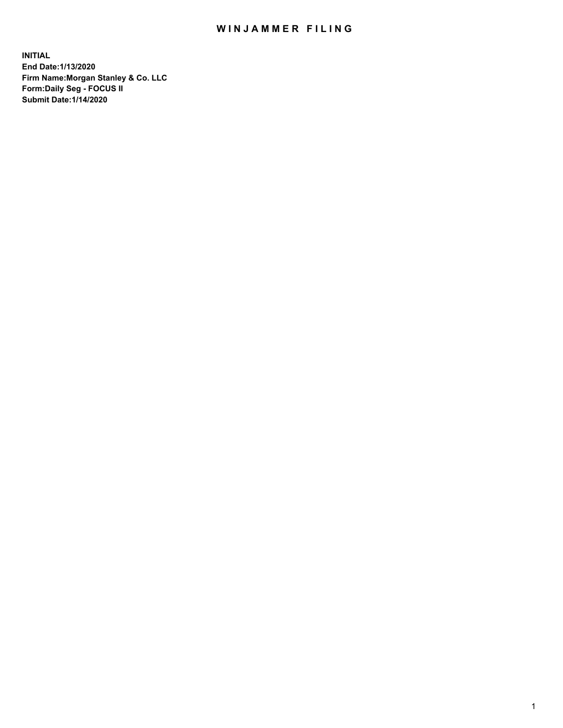## WIN JAMMER FILING

**INITIAL End Date:1/13/2020 Firm Name:Morgan Stanley & Co. LLC Form:Daily Seg - FOCUS II Submit Date:1/14/2020**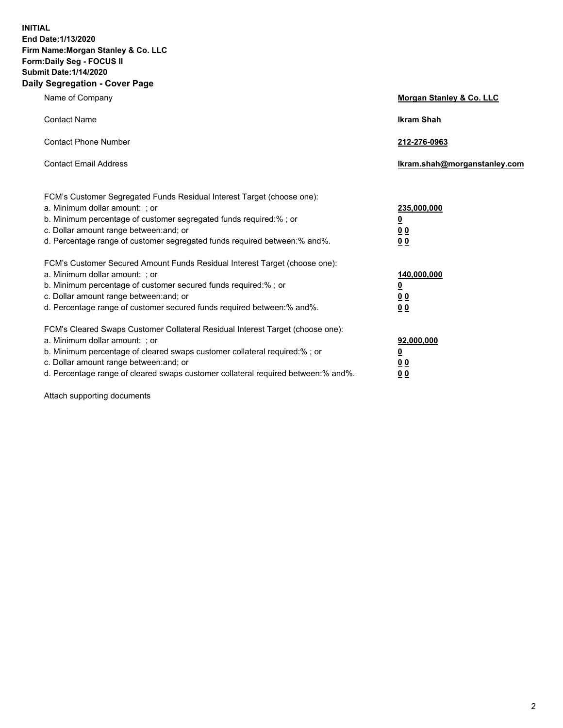**INITIAL End Date:1/13/2020 Firm Name:Morgan Stanley & Co. LLC Form:Daily Seg - FOCUS II Submit Date:1/14/2020 Daily Segregation - Cover Page**

| Name of Company                                                                                                                                                                                                                                                                                                                | Morgan Stanley & Co. LLC                                                     |
|--------------------------------------------------------------------------------------------------------------------------------------------------------------------------------------------------------------------------------------------------------------------------------------------------------------------------------|------------------------------------------------------------------------------|
| <b>Contact Name</b>                                                                                                                                                                                                                                                                                                            | <b>Ikram Shah</b>                                                            |
| <b>Contact Phone Number</b>                                                                                                                                                                                                                                                                                                    | 212-276-0963                                                                 |
| <b>Contact Email Address</b>                                                                                                                                                                                                                                                                                                   | Ikram.shah@morganstanley.com                                                 |
| FCM's Customer Segregated Funds Residual Interest Target (choose one):<br>a. Minimum dollar amount: ; or<br>b. Minimum percentage of customer segregated funds required:%; or<br>c. Dollar amount range between: and; or<br>d. Percentage range of customer segregated funds required between: % and %.                        | 235,000,000<br><u>0</u><br><u>00</u><br>0 Q                                  |
| FCM's Customer Secured Amount Funds Residual Interest Target (choose one):<br>a. Minimum dollar amount: ; or<br>b. Minimum percentage of customer secured funds required:%; or<br>c. Dollar amount range between: and; or<br>d. Percentage range of customer secured funds required between:% and%.                            | 140,000,000<br><u>0</u><br>$\underline{0}$ $\underline{0}$<br>0 <sup>0</sup> |
| FCM's Cleared Swaps Customer Collateral Residual Interest Target (choose one):<br>a. Minimum dollar amount: ; or<br>b. Minimum percentage of cleared swaps customer collateral required:% ; or<br>c. Dollar amount range between: and; or<br>d. Percentage range of cleared swaps customer collateral required between:% and%. | 92,000,000<br><u>0</u><br><u>00</u><br>00                                    |

Attach supporting documents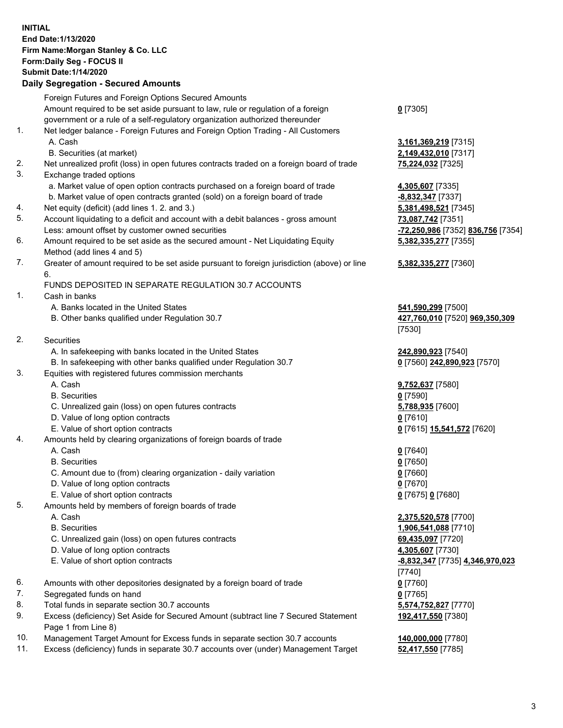## **INITIAL End Date:1/13/2020 Firm Name:Morgan Stanley & Co. LLC Form:Daily Seg - FOCUS II Submit Date:1/14/2020**

## **Daily Segregation - Secured Amounts**

|     | Foreign Futures and Foreign Options Secured Amounts                                                        |                                   |
|-----|------------------------------------------------------------------------------------------------------------|-----------------------------------|
|     | Amount required to be set aside pursuant to law, rule or regulation of a foreign                           | $0$ [7305]                        |
|     | government or a rule of a self-regulatory organization authorized thereunder                               |                                   |
| 1.  | Net ledger balance - Foreign Futures and Foreign Option Trading - All Customers                            |                                   |
|     | A. Cash                                                                                                    | 3,161,369,219 [7315]              |
|     | B. Securities (at market)                                                                                  | 2,149,432,010 [7317]              |
| 2.  | Net unrealized profit (loss) in open futures contracts traded on a foreign board of trade                  | 75,224,032 [7325]                 |
| 3.  | Exchange traded options                                                                                    |                                   |
|     | a. Market value of open option contracts purchased on a foreign board of trade                             | 4,305,607 [7335]                  |
|     | b. Market value of open contracts granted (sold) on a foreign board of trade                               | -8,832,347 [7337]                 |
| 4.  | Net equity (deficit) (add lines 1.2. and 3.)                                                               | 5,381,498,521 [7345]              |
| 5.  | Account liquidating to a deficit and account with a debit balances - gross amount                          | 73,087,742 [7351]                 |
|     | Less: amount offset by customer owned securities                                                           | -72,250,986 [7352] 836,756 [7354] |
| 6.  | Amount required to be set aside as the secured amount - Net Liquidating Equity                             | 5,382,335,277 [7355]              |
|     | Method (add lines 4 and 5)                                                                                 |                                   |
| 7.  | Greater of amount required to be set aside pursuant to foreign jurisdiction (above) or line<br>6.          | 5,382,335,277 [7360]              |
|     | FUNDS DEPOSITED IN SEPARATE REGULATION 30.7 ACCOUNTS                                                       |                                   |
| 1.  | Cash in banks                                                                                              |                                   |
|     | A. Banks located in the United States                                                                      | 541,590,299 [7500]                |
|     | B. Other banks qualified under Regulation 30.7                                                             | 427,760,010 [7520] 969,350,309    |
|     |                                                                                                            | [7530]                            |
| 2.  | <b>Securities</b>                                                                                          |                                   |
|     | A. In safekeeping with banks located in the United States                                                  | 242,890,923 [7540]                |
|     | B. In safekeeping with other banks qualified under Regulation 30.7                                         | 0 [7560] 242,890,923 [7570]       |
| 3.  | Equities with registered futures commission merchants                                                      |                                   |
|     | A. Cash                                                                                                    | 9,752,637 [7580]                  |
|     | <b>B.</b> Securities                                                                                       | $0$ [7590]                        |
|     | C. Unrealized gain (loss) on open futures contracts                                                        | 5,788,935 [7600]                  |
|     | D. Value of long option contracts                                                                          | $0$ [7610]                        |
|     | E. Value of short option contracts                                                                         | 0 [7615] 15,541,572 [7620]        |
| 4.  | Amounts held by clearing organizations of foreign boards of trade                                          |                                   |
|     | A. Cash                                                                                                    | $0$ [7640]                        |
|     | <b>B.</b> Securities                                                                                       | $0$ [7650]                        |
|     | C. Amount due to (from) clearing organization - daily variation                                            | $0$ [7660]                        |
|     | D. Value of long option contracts                                                                          | $0$ [7670]                        |
|     | E. Value of short option contracts                                                                         | 0 [7675] 0 [7680]                 |
| 5.  | Amounts held by members of foreign boards of trade                                                         |                                   |
|     | A. Cash                                                                                                    | 2,375,520,578 [7700]              |
|     | <b>B.</b> Securities                                                                                       | 1,906,541,088 [7710]              |
|     | C. Unrealized gain (loss) on open futures contracts                                                        | 69,435,097 [7720]                 |
|     | D. Value of long option contracts                                                                          | 4,305,607 [7730]                  |
|     | E. Value of short option contracts                                                                         | -8,832,347 [7735] 4,346,970,023   |
|     |                                                                                                            | [7740]                            |
| 6.  | Amounts with other depositories designated by a foreign board of trade                                     | $0$ [7760]                        |
| 7.  | Segregated funds on hand                                                                                   | $0$ [7765]                        |
| 8.  | Total funds in separate section 30.7 accounts                                                              | 5,574,752,827 [7770]              |
| 9.  | Excess (deficiency) Set Aside for Secured Amount (subtract line 7 Secured Statement<br>Page 1 from Line 8) | 192,417,550 [7380]                |
| 10. | Management Target Amount for Excess funds in separate section 30.7 accounts                                | 140,000,000 [7780]                |
|     |                                                                                                            |                                   |

- 
- 11. Excess (deficiency) funds in separate 30.7 accounts over (under) Management Target **52,417,550** [7785]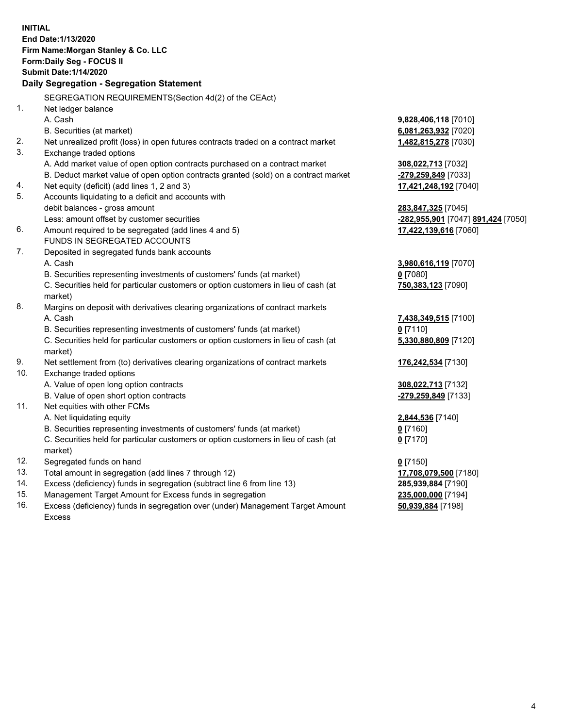**INITIAL End Date:1/13/2020 Firm Name:Morgan Stanley & Co. LLC Form:Daily Seg - FOCUS II Submit Date:1/14/2020 Daily Segregation - Segregation Statement** SEGREGATION REQUIREMENTS(Section 4d(2) of the CEAct) 1. Net ledger balance A. Cash **9,828,406,118** [7010] B. Securities (at market) **6,081,263,932** [7020] 2. Net unrealized profit (loss) in open futures contracts traded on a contract market **1,482,815,278** [7030] 3. Exchange traded options A. Add market value of open option contracts purchased on a contract market **308,022,713** [7032] B. Deduct market value of open option contracts granted (sold) on a contract market **-279,259,849** [7033] 4. Net equity (deficit) (add lines 1, 2 and 3) **17,421,248,192** [7040] 5. Accounts liquidating to a deficit and accounts with debit balances - gross amount **283,847,325** [7045] Less: amount offset by customer securities **-282,955,901** [7047] **891,424** [7050] 6. Amount required to be segregated (add lines 4 and 5) **17,422,139,616** [7060] FUNDS IN SEGREGATED ACCOUNTS 7. Deposited in segregated funds bank accounts A. Cash **3,980,616,119** [7070] B. Securities representing investments of customers' funds (at market) **0** [7080] C. Securities held for particular customers or option customers in lieu of cash (at market) **750,383,123** [7090] 8. Margins on deposit with derivatives clearing organizations of contract markets A. Cash **7,438,349,515** [7100] B. Securities representing investments of customers' funds (at market) **0** [7110] C. Securities held for particular customers or option customers in lieu of cash (at market) **5,330,880,809** [7120] 9. Net settlement from (to) derivatives clearing organizations of contract markets **176,242,534** [7130] 10. Exchange traded options A. Value of open long option contracts **308,022,713** [7132] B. Value of open short option contracts **-279,259,849** [7133] 11. Net equities with other FCMs A. Net liquidating equity **2,844,536** [7140] B. Securities representing investments of customers' funds (at market) **0** [7160] C. Securities held for particular customers or option customers in lieu of cash (at market) **0** [7170] 12. Segregated funds on hand **0** [7150] 13. Total amount in segregation (add lines 7 through 12) **17,708,079,500** [7180] 14. Excess (deficiency) funds in segregation (subtract line 6 from line 13) **285,939,884** [7190] 15. Management Target Amount for Excess funds in segregation **235,000,000** [7194] 16. Excess (deficiency) funds in segregation over (under) Management Target Amount **50,939,884** [7198]

Excess